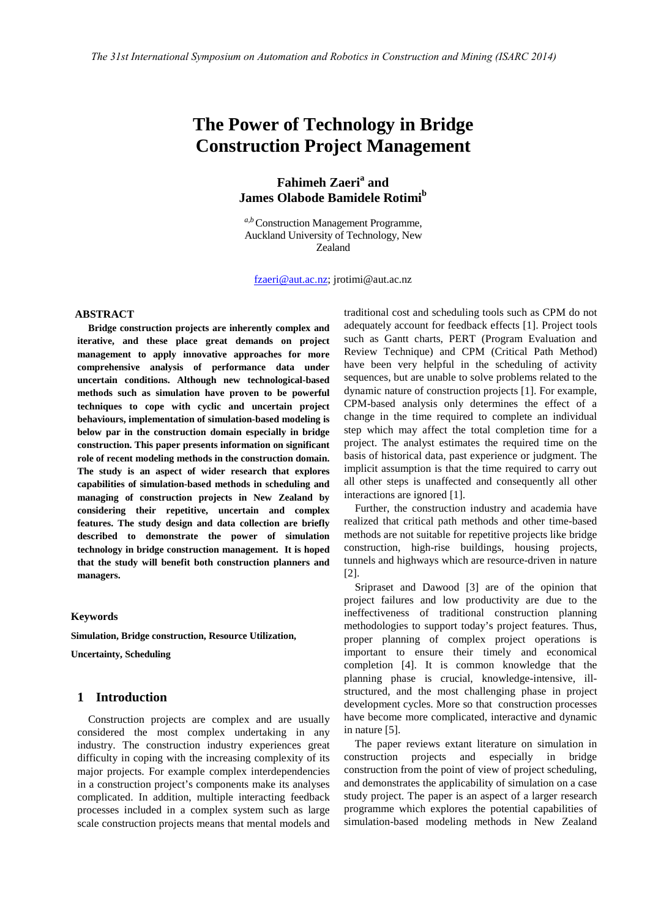# **The Power of Technology in Bridge Construction Project Management**

## **Fahimeh Zaeri<sup>a</sup> and James Olabode Bamidele Rotimi<sup>b</sup>**

*a,b* Construction Management Programme, Auckland University of Technology, New Zealand

[fzaeri@aut.ac.nz;](mailto:fzaeri@aut.ac.nz) jrotimi@aut.ac.nz

#### **ABSTRACT**

**Bridge construction projects are inherently complex and iterative, and these place great demands on project management to apply innovative approaches for more comprehensive analysis of performance data under uncertain conditions. Although new technological-based methods such as simulation have proven to be powerful techniques to cope with cyclic and uncertain project behaviours, implementation of simulation-based modeling is below par in the construction domain especially in bridge construction. This paper presents information on significant role of recent modeling methods in the construction domain. The study is an aspect of wider research that explores capabilities of simulation-based methods in scheduling and managing of construction projects in New Zealand by considering their repetitive, uncertain and complex features. The study design and data collection are briefly described to demonstrate the power of simulation technology in bridge construction management. It is hoped that the study will benefit both construction planners and managers.** 

#### **Keywords**

**Simulation, Bridge construction, Resource Utilization,** 

**Uncertainty, Scheduling**

## **1 Introduction**

Construction projects are complex and are usually considered the most complex undertaking in any industry. The construction industry experiences great difficulty in coping with the increasing complexity of its major projects. For example complex interdependencies in a construction project's components make its analyses complicated. In addition, multiple interacting feedback processes included in a complex system such as large scale construction projects means that mental models and

traditional cost and scheduling tools such as CPM do not adequately account for feedback effects [\[1\]](#page-5-0). Project tools such as Gantt charts, PERT (Program Evaluation and Review Technique) and CPM (Critical Path Method) have been very helpful in the scheduling of activity sequences, but are unable to solve problems related to the dynamic nature of construction projects [\[1\]](#page-5-0). For example, CPM-based analysis only determines the effect of a change in the time required to complete an individual step which may affect the total completion time for a project. The analyst estimates the required time on the basis of historical data, past experience or judgment. The implicit assumption is that the time required to carry out all other steps is unaffected and consequently all other interactions are ignored [\[1\]](#page-5-0).

Further, the construction industry and academia have realized that critical path methods and other time-based methods are not suitable for repetitive projects like bridge construction, high-rise buildings, housing projects, tunnels and highways which are resource-driven in nature [\[2\]](#page-5-1).

Sripraset and Dawood [\[3\]](#page-5-2) are of the opinion that project failures and low productivity are due to the ineffectiveness of traditional construction planning methodologies to support today's project features. Thus, proper planning of complex project operations is important to ensure their timely and economical completion [\[4\]](#page-5-3). It is common knowledge that the planning phase is crucial, knowledge-intensive, illstructured, and the most challenging phase in project development cycles. More so that construction processes have become more complicated, interactive and dynamic in nature [\[5\]](#page-5-4).

The paper reviews extant literature on simulation in construction projects and especially in bridge construction from the point of view of project scheduling, and demonstrates the applicability of simulation on a case study project. The paper is an aspect of a larger research programme which explores the potential capabilities of simulation-based modeling methods in New Zealand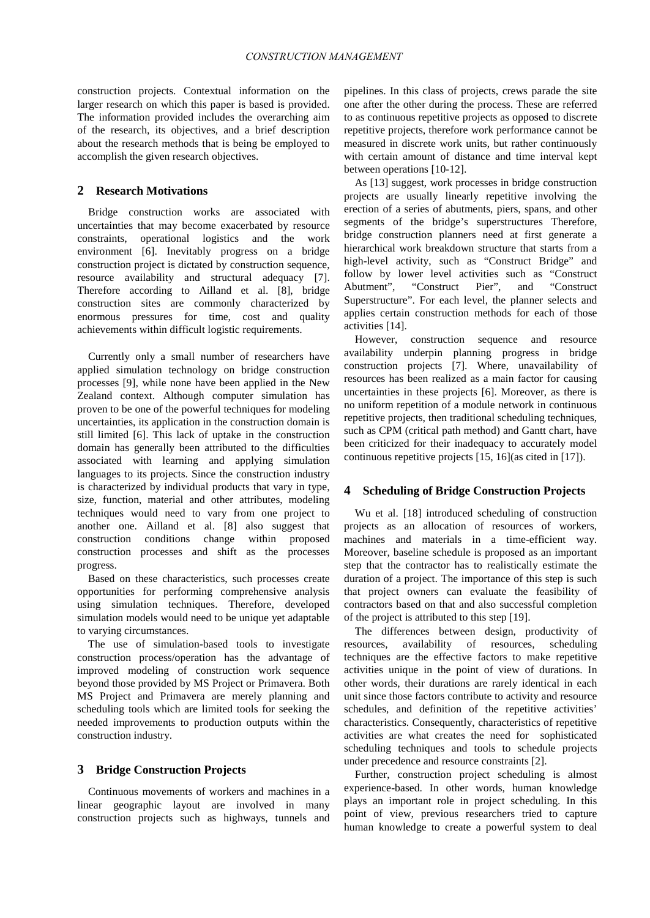construction projects. Contextual information on the larger research on which this paper is based is provided. The information provided includes the overarching aim of the research, its objectives, and a brief description about the research methods that is being be employed to accomplish the given research objectives.

## **2 Research Motivations**

Bridge construction works are associated with uncertainties that may become exacerbated by resource constraints, operational logistics and the work environment [\[6\]](#page-5-5). Inevitably progress on a bridge construction project is dictated by construction sequence, resource availability and structural adequacy [\[7\]](#page-5-6). Therefore according to Ailland et al. [\[8\]](#page-5-7), bridge construction sites are commonly characterized by enormous pressures for time, cost and quality achievements within difficult logistic requirements.

Currently only a small number of researchers have applied simulation technology on bridge construction processes [\[9\]](#page-5-8), while none have been applied in the New Zealand context. Although computer simulation has proven to be one of the powerful techniques for modeling uncertainties, its application in the construction domain is still limited [\[6\]](#page-5-5). This lack of uptake in the construction domain has generally been attributed to the difficulties associated with learning and applying simulation languages to its projects. Since the construction industry is characterized by individual products that vary in type, size, function, material and other attributes, modeling techniques would need to vary from one project to another one. Ailland et al. [\[8\]](#page-5-7) also suggest that construction conditions change within proposed construction processes and shift as the processes progress.

Based on these characteristics, such processes create opportunities for performing comprehensive analysis using simulation techniques. Therefore, developed simulation models would need to be unique yet adaptable to varying circumstances.

The use of simulation-based tools to investigate construction process/operation has the advantage of improved modeling of construction work sequence beyond those provided by MS Project or Primavera. Both MS Project and Primavera are merely planning and scheduling tools which are limited tools for seeking the needed improvements to production outputs within the construction industry.

## **3 Bridge Construction Projects**

Continuous movements of workers and machines in a linear geographic layout are involved in many construction projects such as highways, tunnels and pipelines. In this class of projects, crews parade the site one after the other during the process. These are referred to as continuous repetitive projects as opposed to discrete repetitive projects, therefore work performance cannot be measured in discrete work units, but rather continuously with certain amount of distance and time interval kept between operations [\[10-12\]](#page-5-9).

As [\[13\]](#page-5-10) suggest, work processes in bridge construction projects are usually linearly repetitive involving the erection of a series of abutments, piers, spans, and other segments of the bridge's superstructures Therefore, bridge construction planners need at first generate a hierarchical work breakdown structure that starts from a high-level activity, such as "Construct Bridge" and follow by lower level activities such as "Construct Abutment", "Construct Pier", and "Construct "Construct Pier", and Superstructure". For each level, the planner selects and applies certain construction methods for each of those activities [\[14\]](#page-5-11).

However, construction sequence and resource availability underpin planning progress in bridge construction projects [\[7\]](#page-5-6). Where, unavailability of resources has been realized as a main factor for causing uncertainties in these projects [\[6\]](#page-5-5). Moreover, as there is no uniform repetition of a module network in continuous repetitive projects, then traditional scheduling techniques, such as CPM (critical path method) and Gantt chart, have been criticized for their inadequacy to accurately model continuous repetitive projects [\[15,](#page-5-12) [16\]](#page-5-13)(as cited in [\[17\]](#page-5-14)).

#### **4 Scheduling of Bridge Construction Projects**

Wu et al. [\[18\]](#page-5-15) introduced scheduling of construction projects as an allocation of resources of workers, machines and materials in a time-efficient way. Moreover, baseline schedule is proposed as an important step that the contractor has to realistically estimate the duration of a project. The importance of this step is such that project owners can evaluate the feasibility of contractors based on that and also successful completion of the project is attributed to this step [\[19\]](#page-5-16).

The differences between design, productivity of sources, availability of resources, scheduling resources, availability of resources, scheduling techniques are the effective factors to make repetitive activities unique in the point of view of durations. In other words, their durations are rarely identical in each unit since those factors contribute to activity and resource schedules, and definition of the repetitive activities' characteristics. Consequently, characteristics of repetitive activities are what creates the need for sophisticated scheduling techniques and tools to schedule projects under precedence and resource constraints [\[2\]](#page-5-1).

Further, construction project scheduling is almost experience-based. In other words, human knowledge plays an important role in project scheduling. In this point of view, previous researchers tried to capture human knowledge to create a powerful system to deal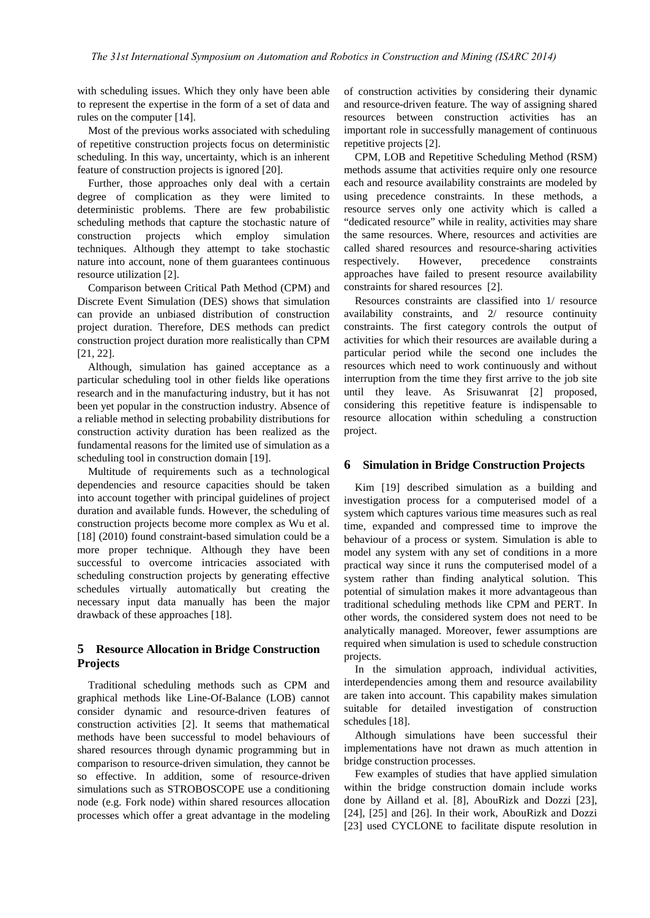with scheduling issues. Which they only have been able to represent the expertise in the form of a set of data and rules on the computer [\[14\]](#page-5-11).

Most of the previous works associated with scheduling of repetitive construction projects focus on deterministic scheduling. In this way, uncertainty, which is an inherent feature of construction projects is ignored [\[20\]](#page-6-0).

Further, those approaches only deal with a certain degree of complication as they were limited to deterministic problems. There are few probabilistic scheduling methods that capture the stochastic nature of construction projects which employ simulation techniques. Although they attempt to take stochastic nature into account, none of them guarantees continuous resource utilization [\[2\]](#page-5-1).

Comparison between Critical Path Method (CPM) and Discrete Event Simulation (DES) shows that simulation can provide an unbiased distribution of construction project duration. Therefore, DES methods can predict construction project duration more realistically than CPM [\[21,](#page-6-1) [22\]](#page-6-2).

Although, simulation has gained acceptance as a particular scheduling tool in other fields like operations research and in the manufacturing industry, but it has not been yet popular in the construction industry. Absence of a reliable method in selecting probability distributions for construction activity duration has been realized as the fundamental reasons for the limited use of simulation as a scheduling tool in construction domain [\[19\]](#page-5-16).

Multitude of requirements such as a technological dependencies and resource capacities should be taken into account together with principal guidelines of project duration and available funds. However, the scheduling of construction projects become more complex as Wu et al. [\[18\]](#page-5-15) (2010) found constraint-based simulation could be a more proper technique. Although they have been successful to overcome intricacies associated with scheduling construction projects by generating effective schedules virtually automatically but creating the necessary input data manually has been the major drawback of these approaches [\[18\]](#page-5-15).

## **5 Resource Allocation in Bridge Construction Projects**

Traditional scheduling methods such as CPM and graphical methods like Line-Of-Balance (LOB) cannot consider dynamic and resource-driven features of construction activities [\[2\]](#page-5-1). It seems that mathematical methods have been successful to model behaviours of shared resources through dynamic programming but in comparison to resource-driven simulation, they cannot be so effective. In addition, some of resource-driven simulations such as STROBOSCOPE use a conditioning node (e.g. Fork node) within shared resources allocation processes which offer a great advantage in the modeling

of construction activities by considering their dynamic and resource-driven feature. The way of assigning shared resources between construction activities has an important role in successfully management of continuous repetitive projects [\[2\]](#page-5-1).

CPM, LOB and Repetitive Scheduling Method (RSM) methods assume that activities require only one resource each and resource availability constraints are modeled by using precedence constraints. In these methods, a resource serves only one activity which is called a "dedicated resource" while in reality, activities may share the same resources. Where, resources and activities are called shared resources and resource-sharing activities respectively. However, precedence constraints approaches have failed to present resource availability constraints for shared resources [\[2\]](#page-5-1).

Resources constraints are classified into 1/ resource availability constraints, and 2/ resource continuity constraints. The first category controls the output of activities for which their resources are available during a particular period while the second one includes the resources which need to work continuously and without interruption from the time they first arrive to the job site until they leave. As Srisuwanrat [\[2\]](#page-5-1) proposed, considering this repetitive feature is indispensable to resource allocation within scheduling a construction project.

### **6 Simulation in Bridge Construction Projects**

Kim [\[19\]](#page-5-16) described simulation as a building and investigation process for a computerised model of a system which captures various time measures such as real time, expanded and compressed time to improve the behaviour of a process or system. Simulation is able to model any system with any set of conditions in a more practical way since it runs the computerised model of a system rather than finding analytical solution. This potential of simulation makes it more advantageous than traditional scheduling methods like CPM and PERT. In other words, the considered system does not need to be analytically managed. Moreover, fewer assumptions are required when simulation is used to schedule construction projects.

In the simulation approach, individual activities, interdependencies among them and resource availability are taken into account. This capability makes simulation suitable for detailed investigation of construction schedules [\[18\]](#page-5-15).

Although simulations have been successful their implementations have not drawn as much attention in bridge construction processes.

Few examples of studies that have applied simulation within the bridge construction domain include works done by Ailland et al. [\[8\]](#page-5-7), AbouRizk and Dozzi [\[23\]](#page-6-3), [\[24\]](#page-6-4), [\[25\]](#page-6-5) and [\[26\]](#page-6-6). In their work, AbouRizk and Dozzi [\[23\]](#page-6-3) used CYCLONE to facilitate dispute resolution in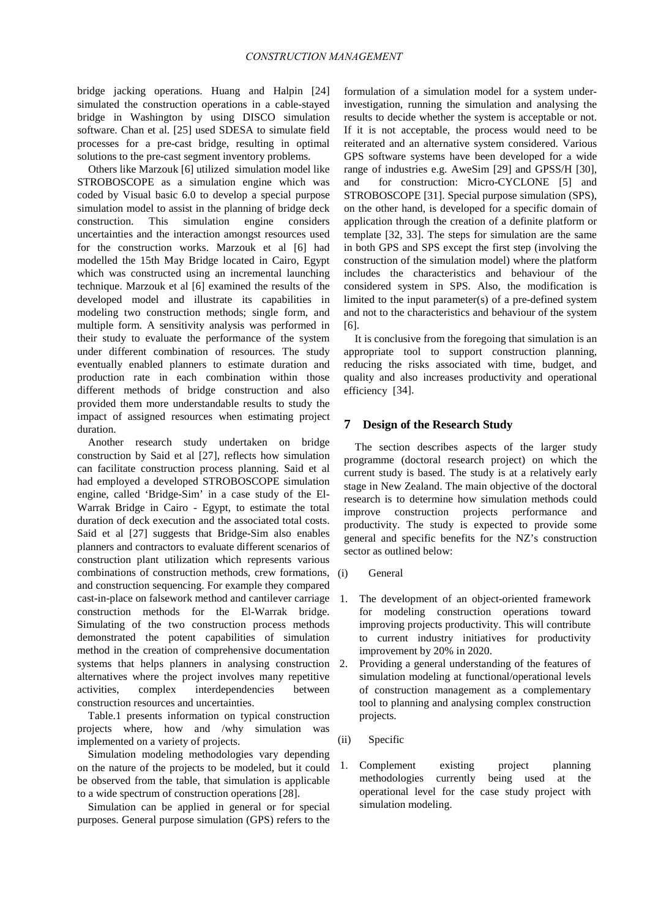bridge jacking operations. Huang and Halpin [\[24\]](#page-6-4) simulated the construction operations in a cable-stayed bridge in Washington by using DISCO simulation software. Chan et al. [\[25\]](#page-6-5) used SDESA to simulate field processes for a pre-cast bridge, resulting in optimal solutions to the pre-cast segment inventory problems.

Others like Marzouk [\[6\]](#page-5-5) utilized simulation model like STROBOSCOPE as a simulation engine which was coded by Visual basic 6.0 to develop a special purpose simulation model to assist in the planning of bridge deck construction. This simulation engine considers construction. This simulation uncertainties and the interaction amongst resources used for the construction works. Marzouk et al [\[6\]](#page-5-5) had modelled the 15th May Bridge located in Cairo, Egypt which was constructed using an incremental launching technique. Marzouk et al [\[6\]](#page-5-5) examined the results of the developed model and illustrate its capabilities in modeling two construction methods; single form, and multiple form. A sensitivity analysis was performed in their study to evaluate the performance of the system under different combination of resources. The study eventually enabled planners to estimate duration and production rate in each combination within those different methods of bridge construction and also provided them more understandable results to study the impact of assigned resources when estimating project duration.

Another research study undertaken on bridge construction by Said et al [\[27\]](#page-6-7), reflects how simulation can facilitate construction process planning. Said et al had employed a developed STROBOSCOPE simulation engine, called 'Bridge-Sim' in a case study of the El-Warrak Bridge in Cairo - Egypt, to estimate the total duration of deck execution and the associated total costs. Said et al [\[27\]](#page-6-7) suggests that Bridge-Sim also enables planners and contractors to evaluate different scenarios of construction plant utilization which represents various combinations of construction methods, crew formations, and construction sequencing. For example they compared cast-in-place on falsework method and cantilever carriage construction methods for the El-Warrak bridge. Simulating of the two construction process methods demonstrated the potent capabilities of simulation method in the creation of comprehensive documentation systems that helps planners in analysing construction alternatives where the project involves many repetitive activities, complex interdependencies between construction resources and uncertainties.

Table.1 presents information on typical construction projects where, how and /why simulation was implemented on a variety of projects.

Simulation modeling methodologies vary depending on the nature of the projects to be modeled, but it could be observed from the table, that simulation is applicable to a wide spectrum of construction operations [\[28\]](#page-6-8).

Simulation can be applied in general or for special purposes. General purpose simulation (GPS) refers to the

formulation of a simulation model for a system underinvestigation, running the simulation and analysing the results to decide whether the system is acceptable or not. If it is not acceptable, the process would need to be reiterated and an alternative system considered. Various GPS software systems have been developed for a wide range of industries e.g. AweSim [\[29\]](#page-6-9) and GPSS/H [\[30\]](#page-6-10), and for construction: Micro-CYCLONE [\[5\]](#page-5-4) and STROBOSCOPE [\[31\]](#page-6-11). Special purpose simulation (SPS), on the other hand, is developed for a specific domain of application through the creation of a definite platform or template [\[32,](#page-6-12) [33\]](#page-6-13). The steps for simulation are the same in both GPS and SPS except the first step (involving the construction of the simulation model) where the platform includes the characteristics and behaviour of the considered system in SPS. Also, the modification is limited to the input parameter(s) of a pre-defined system and not to the characteristics and behaviour of the system [\[6\]](#page-5-5).

It is conclusive from the foregoing that simulation is an appropriate tool to support construction planning, reducing the risks associated with time, budget, and quality and also increases productivity and operational efficiency [\[34\]](#page-6-14).

#### **7 Design of the Research Study**

The section describes aspects of the larger study programme (doctoral research project) on which the current study is based. The study is at a relatively early stage in New Zealand. The main objective of the doctoral research is to determine how simulation methods could improve construction projects performance and productivity. The study is expected to provide some general and specific benefits for the NZ's construction sector as outlined below:

#### (i) General

- 1. The development of an object-oriented framework for modeling construction operations toward improving projects productivity. This will contribute to current industry initiatives for productivity improvement by 20% in 2020.
- 2. Providing a general understanding of the features of simulation modeling at functional/operational levels of construction management as a complementary tool to planning and analysing complex construction projects.
- (ii) Specific
- 1. Complement existing project planning methodologies currently being used at the operational level for the case study project with simulation modeling.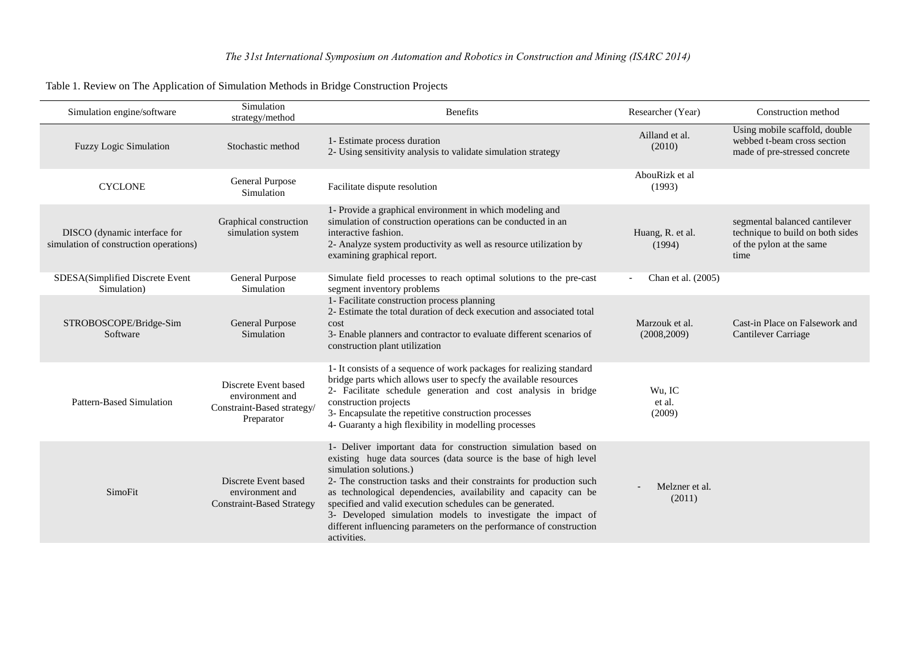| Simulation engine/software                                             | Simulation<br>strategy/method                                                       | <b>Benefits</b>                                                                                                                                                                                                                                                                                                                                                                                                                                                                                                           | Researcher (Year)              | Construction method                                                                                   |
|------------------------------------------------------------------------|-------------------------------------------------------------------------------------|---------------------------------------------------------------------------------------------------------------------------------------------------------------------------------------------------------------------------------------------------------------------------------------------------------------------------------------------------------------------------------------------------------------------------------------------------------------------------------------------------------------------------|--------------------------------|-------------------------------------------------------------------------------------------------------|
| <b>Fuzzy Logic Simulation</b>                                          | Stochastic method                                                                   | 1- Estimate process duration<br>2- Using sensitivity analysis to validate simulation strategy                                                                                                                                                                                                                                                                                                                                                                                                                             | Ailland et al.<br>(2010)       | Using mobile scaffold, double<br>webbed t-beam cross section<br>made of pre-stressed concrete         |
| <b>CYCLONE</b>                                                         | General Purpose<br>Simulation                                                       | Facilitate dispute resolution                                                                                                                                                                                                                                                                                                                                                                                                                                                                                             | AbouRizk et al<br>(1993)       |                                                                                                       |
| DISCO (dynamic interface for<br>simulation of construction operations) | Graphical construction<br>simulation system                                         | 1- Provide a graphical environment in which modeling and<br>simulation of construction operations can be conducted in an<br>interactive fashion.<br>2- Analyze system productivity as well as resource utilization by<br>examining graphical report.                                                                                                                                                                                                                                                                      | Huang, R. et al.<br>(1994)     | segmental balanced cantilever<br>technique to build on both sides<br>of the pylon at the same<br>time |
| SDESA(Simplified Discrete Event<br>Simulation)                         | General Purpose<br>Simulation                                                       | Simulate field processes to reach optimal solutions to the pre-cast<br>segment inventory problems                                                                                                                                                                                                                                                                                                                                                                                                                         | Chan et al. (2005)             |                                                                                                       |
| STROBOSCOPE/Bridge-Sim<br>Software                                     | General Purpose<br>Simulation                                                       | 1- Facilitate construction process planning<br>2- Estimate the total duration of deck execution and associated total<br>cost<br>3- Enable planners and contractor to evaluate different scenarios of<br>construction plant utilization                                                                                                                                                                                                                                                                                    | Marzouk et al.<br>(2008, 2009) | Cast-in Place on Falsework and<br>Cantilever Carriage                                                 |
| <b>Pattern-Based Simulation</b>                                        | Discrete Event based<br>environment and<br>Constraint-Based strategy/<br>Preparator | 1- It consists of a sequence of work packages for realizing standard<br>bridge parts which allows user to specfy the available resources<br>2- Facilitate schedule generation and cost analysis in bridge<br>construction projects<br>3- Encapsulate the repetitive construction processes<br>4- Guaranty a high flexibility in modelling processes                                                                                                                                                                       | Wu, IC<br>et al.<br>(2009)     |                                                                                                       |
| SimoFit                                                                | Discrete Event based<br>environment and<br><b>Constraint-Based Strategy</b>         | 1- Deliver important data for construction simulation based on<br>existing huge data sources (data source is the base of high level<br>simulation solutions.)<br>2- The construction tasks and their constraints for production such<br>as technological dependencies, availability and capacity can be<br>specified and valid execution schedules can be generated.<br>3- Developed simulation models to investigate the impact of<br>different influencing parameters on the performance of construction<br>activities. | Melzner et al.<br>(2011)       |                                                                                                       |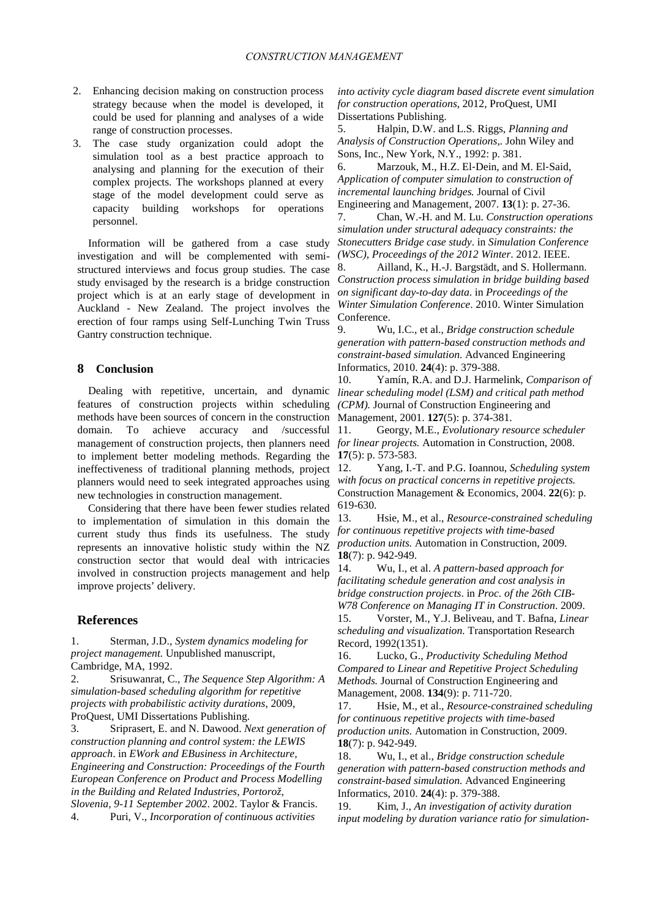- 2. Enhancing decision making on construction process strategy because when the model is developed, it could be used for planning and analyses of a wide range of construction processes.
- 3. The case study organization could adopt the simulation tool as a best practice approach to analysing and planning for the execution of their complex projects. The workshops planned at every stage of the model development could serve as capacity building workshops for operations personnel.

Information will be gathered from a case study investigation and will be complemented with semistructured interviews and focus group studies. The case study envisaged by the research is a bridge construction project which is at an early stage of development in Auckland - New Zealand. The project involves the erection of four ramps using Self-Lunching Twin Truss Gantry construction technique.

## **8 Conclusion**

Dealing with repetitive, uncertain, and dynamic features of construction projects within scheduling methods have been sources of concern in the construction domain. To achieve accuracy and /successful management of construction projects, then planners need to implement better modeling methods. Regarding the ineffectiveness of traditional planning methods, project planners would need to seek integrated approaches using new technologies in construction management.

Considering that there have been fewer studies related to implementation of simulation in this domain the current study thus finds its usefulness. The study represents an innovative holistic study within the NZ construction sector that would deal with intricacies involved in construction projects management and help improve projects' delivery.

#### **References**

<span id="page-5-0"></span>1. Sterman, J.D., *System dynamics modeling for project management.* Unpublished manuscript, Cambridge, MA, 1992.

<span id="page-5-1"></span>2. Srisuwanrat, C., *The Sequence Step Algorithm: A simulation-based scheduling algorithm for repetitive projects with probabilistic activity durations*, 2009, ProQuest, UMI Dissertations Publishing.

<span id="page-5-3"></span><span id="page-5-2"></span>3. Sriprasert, E. and N. Dawood. *Next generation of construction planning and control system: the LEWIS approach*. in *EWork and EBusiness in Architecture, Engineering and Construction: Proceedings of the Fourth European Conference on Product and Process Modelling in the Building and Related Industries, Portorož, Slovenia, 9-11 September 2002*. 2002. Taylor & Francis. 4. Puri, V., *Incorporation of continuous activities*

*into activity cycle diagram based discrete event simulation for construction operations*, 2012, ProQuest, UMI Dissertations Publishing.<br>5. Halpin, D.W. an

<span id="page-5-4"></span>5. Halpin, D.W. and L.S. Riggs, *Planning and Analysis of Construction Operations,.* John Wiley and Sons, Inc., New York, N.Y., 1992: p. 381.

<span id="page-5-5"></span>6. Marzouk, M., H.Z. El‐Dein, and M. El‐Said, *Application of computer simulation to construction of incremental launching bridges.* Journal of Civil Engineering and Management, 2007. **13**(1): p. 27-36.

<span id="page-5-6"></span>7. Chan, W.-H. and M. Lu. *Construction operations simulation under structural adequacy constraints: the Stonecutters Bridge case study*. in *Simulation Conference (WSC), Proceedings of the 2012 Winter*. 2012. IEEE.

<span id="page-5-7"></span>8. Ailland, K., H.-J. Bargstädt, and S. Hollermann. *Construction process simulation in bridge building based on significant day-to-day data*. in *Proceedings of the Winter Simulation Conference*. 2010. Winter Simulation Conference.

<span id="page-5-8"></span>9. Wu, I.C., et al., *Bridge construction schedule generation with pattern-based construction methods and constraint-based simulation.* Advanced Engineering Informatics, 2010. **24**(4): p. 379-388.

<span id="page-5-9"></span>10. Yamín, R.A. and D.J. Harmelink, *Comparison of linear scheduling model (LSM) and critical path method (CPM).* Journal of Construction Engineering and Management, 2001. **127**(5): p. 374-381.

11. Georgy, M.E., *Evolutionary resource scheduler for linear projects.* Automation in Construction, 2008. **17**(5): p. 573-583.

12. Yang, I.-T. and P.G. Ioannou, *Scheduling system with focus on practical concerns in repetitive projects.* Construction Management & Economics, 2004. **22**(6): p. 619-630.

<span id="page-5-10"></span>13. Hsie, M., et al., *Resource-constrained scheduling for continuous repetitive projects with time-based production units.* Automation in Construction, 2009. **18**(7): p. 942-949.

<span id="page-5-11"></span>14. Wu, I., et al. *A pattern-based approach for facilitating schedule generation and cost analysis in bridge construction projects*. in *Proc. of the 26th CIB-W78 Conference on Managing IT in Construction*. 2009.

<span id="page-5-12"></span>15. Vorster, M., Y.J. Beliveau, and T. Bafna, *Linear scheduling and visualization.* Transportation Research Record, 1992(1351).

<span id="page-5-13"></span>16. Lucko, G., *Productivity Scheduling Method Compared to Linear and Repetitive Project Scheduling Methods.* Journal of Construction Engineering and Management, 2008. **134**(9): p. 711-720.

<span id="page-5-14"></span>17. Hsie, M., et al., *Resource-constrained scheduling for continuous repetitive projects with time-based production units.* Automation in Construction, 2009. **18**(7): p. 942-949.

<span id="page-5-15"></span>18. Wu, I., et al., *Bridge construction schedule generation with pattern-based construction methods and constraint-based simulation.* Advanced Engineering Informatics, 2010. **24**(4): p. 379-388.

<span id="page-5-16"></span>19. Kim, J., *An investigation of activity duration input modeling by duration variance ratio for simulation-*